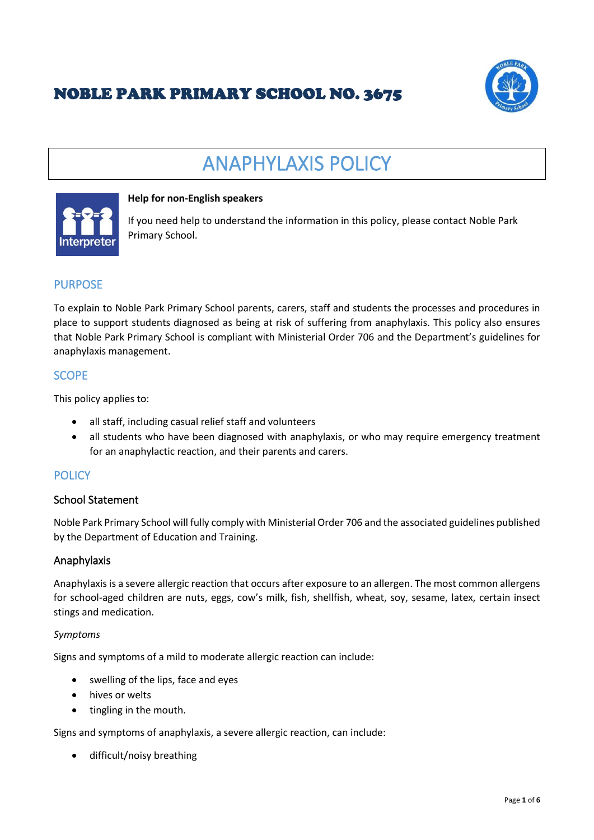## NOBLE PARK PRIMARY SCHOOL NO. 3675



# ANAPHYLAXIS POLICY



#### **Help for non-English speakers**

If you need help to understand the information in this policy, please contact Noble Park Primary School.

## **PURPOSE**

To explain to Noble Park Primary School parents, carers, staff and students the processes and procedures in place to support students diagnosed as being at risk of suffering from anaphylaxis. This policy also ensures that Noble Park Primary School is compliant with Ministerial Order 706 and the Department's guidelines for anaphylaxis management.

#### **SCOPE**

This policy applies to:

- all staff, including casual relief staff and volunteers
- all students who have been diagnosed with anaphylaxis, or who may require emergency treatment for an anaphylactic reaction, and their parents and carers.

## **POLICY**

#### School Statement

Noble Park Primary School will fully comply with Ministerial Order 706 and the associated guidelines published by the Department of Education and Training.

#### Anaphylaxis

Anaphylaxis is a severe allergic reaction that occurs after exposure to an allergen. The most common allergens for school-aged children are nuts, eggs, cow's milk, fish, shellfish, wheat, soy, sesame, latex, certain insect stings and medication.

#### *Symptoms*

Signs and symptoms of a mild to moderate allergic reaction can include:

- swelling of the lips, face and eyes
- hives or welts
- tingling in the mouth.

Signs and symptoms of anaphylaxis, a severe allergic reaction, can include:

• difficult/noisy breathing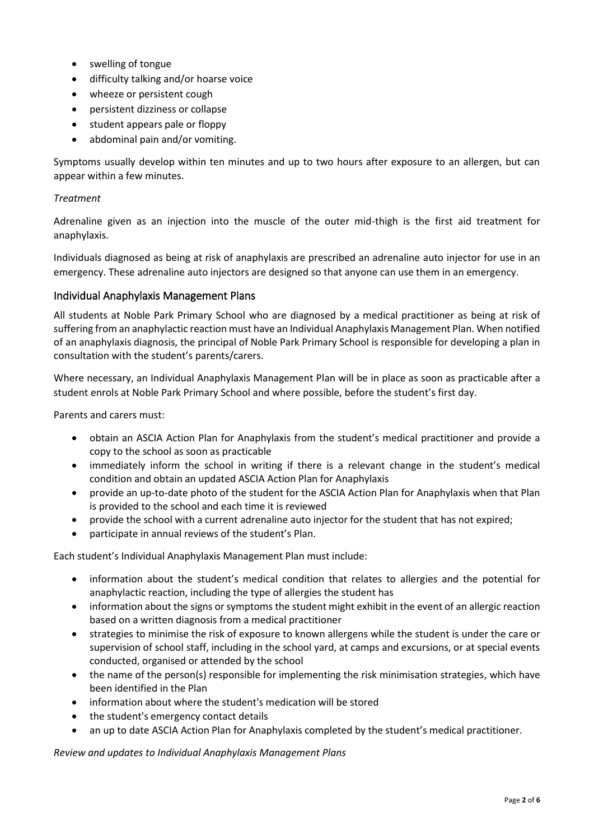- swelling of tongue
- difficulty talking and/or hoarse voice
- wheeze or persistent cough
- persistent dizziness or collapse
- student appears pale or floppy
- abdominal pain and/or vomiting.

Symptoms usually develop within ten minutes and up to two hours after exposure to an allergen, but can appear within a few minutes.

#### *Treatment*

Adrenaline given as an injection into the muscle of the outer mid-thigh is the first aid treatment for anaphylaxis.

Individuals diagnosed as being at risk of anaphylaxis are prescribed an adrenaline auto injector for use in an emergency. These adrenaline auto injectors are designed so that anyone can use them in an emergency.

#### Individual Anaphylaxis Management Plans

All students at Noble Park Primary School who are diagnosed by a medical practitioner as being at risk of suffering from an anaphylactic reaction must have an Individual Anaphylaxis Management Plan. When notified of an anaphylaxis diagnosis, the principal of Noble Park Primary School is responsible for developing a plan in consultation with the student's parents/carers.

Where necessary, an Individual Anaphylaxis Management Plan will be in place as soon as practicable after a student enrols at Noble Park Primary School and where possible, before the student's first day.

Parents and carers must:

- obtain an ASCIA Action Plan for Anaphylaxis from the student's medical practitioner and provide a copy to the school as soon as practicable
- immediately inform the school in writing if there is a relevant change in the student's medical condition and obtain an updated ASCIA Action Plan for Anaphylaxis
- provide an up-to-date photo of the student for the ASCIA Action Plan for Anaphylaxis when that Plan is provided to the school and each time it is reviewed
- provide the school with a current adrenaline auto injector for the student that has not expired;
- participate in annual reviews of the student's Plan.

Each student's Individual Anaphylaxis Management Plan must include:

- information about the student's medical condition that relates to allergies and the potential for anaphylactic reaction, including the type of allergies the student has
- information about the signs or symptoms the student might exhibit in the event of an allergic reaction based on a written diagnosis from a medical practitioner
- strategies to minimise the risk of exposure to known allergens while the student is under the care or supervision of school staff, including in the school yard, at camps and excursions, or at special events conducted, organised or attended by the school
- the name of the person(s) responsible for implementing the risk minimisation strategies, which have been identified in the Plan
- information about where the student's medication will be stored
- the student's emergency contact details
- an up to date ASCIA Action Plan for Anaphylaxis completed by the student's medical practitioner.

*Review and updates to Individual Anaphylaxis Management Plans*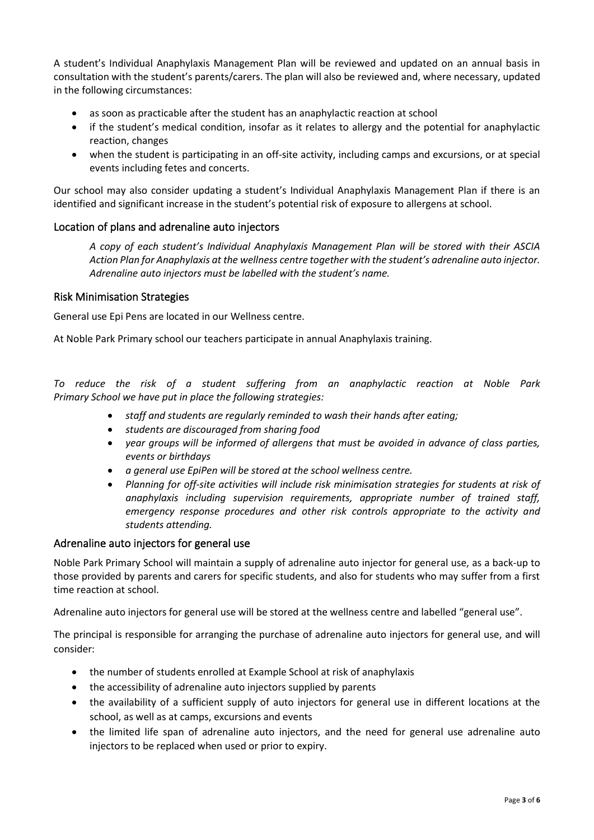A student's Individual Anaphylaxis Management Plan will be reviewed and updated on an annual basis in consultation with the student's parents/carers. The plan will also be reviewed and, where necessary, updated in the following circumstances:

- as soon as practicable after the student has an anaphylactic reaction at school
- if the student's medical condition, insofar as it relates to allergy and the potential for anaphylactic reaction, changes
- when the student is participating in an off-site activity, including camps and excursions, or at special events including fetes and concerts.

Our school may also consider updating a student's Individual Anaphylaxis Management Plan if there is an identified and significant increase in the student's potential risk of exposure to allergens at school.

#### Location of plans and adrenaline auto injectors

*A copy of each student's Individual Anaphylaxis Management Plan will be stored with their ASCIA Action Plan for Anaphylaxis at the wellness centre together with the student's adrenaline auto injector. Adrenaline auto injectors must be labelled with the student's name.*

#### Risk Minimisation Strategies

General use Epi Pens are located in our Wellness centre.

At Noble Park Primary school our teachers participate in annual Anaphylaxis training.

*To reduce the risk of a student suffering from an anaphylactic reaction at Noble Park Primary School we have put in place the following strategies:*

- *staff and students are regularly reminded to wash their hands after eating;*
- *students are discouraged from sharing food*
- *year groups will be informed of allergens that must be avoided in advance of class parties, events or birthdays*
- *a general use EpiPen will be stored at the school wellness centre.*
- *Planning for off-site activities will include risk minimisation strategies for students at risk of anaphylaxis including supervision requirements, appropriate number of trained staff, emergency response procedures and other risk controls appropriate to the activity and students attending.*

#### Adrenaline auto injectors for general use

Noble Park Primary School will maintain a supply of adrenaline auto injector for general use, as a back-up to those provided by parents and carers for specific students, and also for students who may suffer from a first time reaction at school.

Adrenaline auto injectors for general use will be stored at the wellness centre and labelled "general use".

The principal is responsible for arranging the purchase of adrenaline auto injectors for general use, and will consider:

- the number of students enrolled at Example School at risk of anaphylaxis
- the accessibility of adrenaline auto injectors supplied by parents
- the availability of a sufficient supply of auto injectors for general use in different locations at the school, as well as at camps, excursions and events
- the limited life span of adrenaline auto injectors, and the need for general use adrenaline auto injectors to be replaced when used or prior to expiry.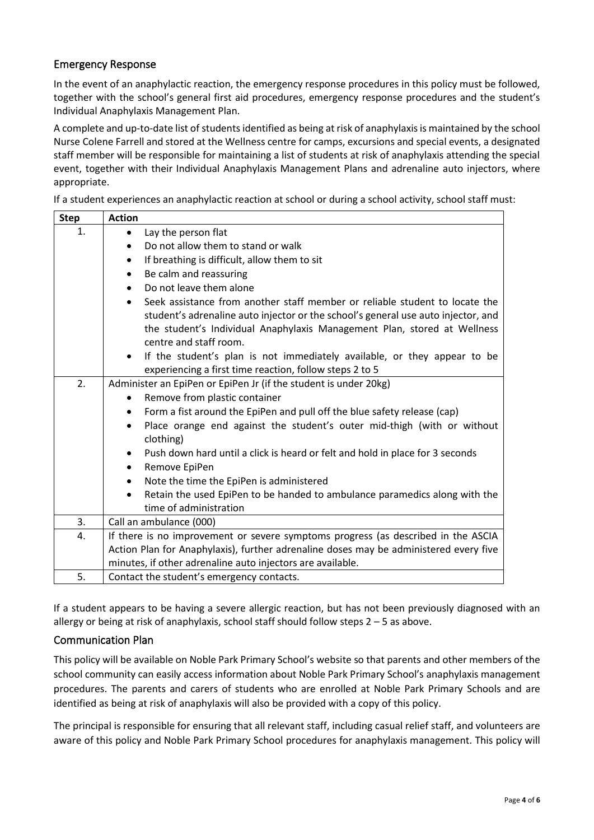### Emergency Response

In the event of an anaphylactic reaction, the emergency response procedures in this policy must be followed, together with the school's general first aid procedures, emergency response procedures and the student's Individual Anaphylaxis Management Plan.

A complete and up-to-date list of students identified as being at risk of anaphylaxis is maintained by the school Nurse Colene Farrell and stored at the Wellness centre for camps, excursions and special events, a designated staff member will be responsible for maintaining a list of students at risk of anaphylaxis attending the special event, together with their Individual Anaphylaxis Management Plans and adrenaline auto injectors, where appropriate.

If a student experiences an anaphylactic reaction at school or during a school activity, school staff must:

| <b>Step</b> | <b>Action</b>                                                                              |
|-------------|--------------------------------------------------------------------------------------------|
| 1.          | Lay the person flat<br>$\bullet$                                                           |
|             | Do not allow them to stand or walk<br>$\bullet$                                            |
|             | If breathing is difficult, allow them to sit<br>$\bullet$                                  |
|             | Be calm and reassuring<br>$\bullet$                                                        |
|             | Do not leave them alone<br>$\bullet$                                                       |
|             | Seek assistance from another staff member or reliable student to locate the<br>$\bullet$   |
|             | student's adrenaline auto injector or the school's general use auto injector, and          |
|             | the student's Individual Anaphylaxis Management Plan, stored at Wellness                   |
|             | centre and staff room.                                                                     |
|             | If the student's plan is not immediately available, or they appear to be<br>$\bullet$      |
|             | experiencing a first time reaction, follow steps 2 to 5                                    |
| 2.          | Administer an EpiPen or EpiPen Jr (if the student is under 20kg)                           |
|             | Remove from plastic container<br>$\bullet$                                                 |
|             | Form a fist around the EpiPen and pull off the blue safety release (cap)<br>٠              |
|             | Place orange end against the student's outer mid-thigh (with or without<br>$\bullet$       |
|             | clothing)                                                                                  |
|             | Push down hard until a click is heard or felt and hold in place for 3 seconds<br>$\bullet$ |
|             | Remove EpiPen<br>$\bullet$                                                                 |
|             | Note the time the EpiPen is administered<br>$\bullet$                                      |
|             | Retain the used EpiPen to be handed to ambulance paramedics along with the<br>$\bullet$    |
|             | time of administration                                                                     |
| 3.          | Call an ambulance (000)                                                                    |
| 4.          | If there is no improvement or severe symptoms progress (as described in the ASCIA          |
|             | Action Plan for Anaphylaxis), further adrenaline doses may be administered every five      |
|             | minutes, if other adrenaline auto injectors are available.                                 |
| 5.          | Contact the student's emergency contacts.                                                  |

If a student appears to be having a severe allergic reaction, but has not been previously diagnosed with an allergy or being at risk of anaphylaxis, school staff should follow steps  $2 - 5$  as above.

#### Communication Plan

This policy will be available on Noble Park Primary School's website so that parents and other members of the school community can easily access information about Noble Park Primary School's anaphylaxis management procedures. The parents and carers of students who are enrolled at Noble Park Primary Schools and are identified as being at risk of anaphylaxis will also be provided with a copy of this policy.

The principal is responsible for ensuring that all relevant staff, including casual relief staff, and volunteers are aware of this policy and Noble Park Primary School procedures for anaphylaxis management. This policy will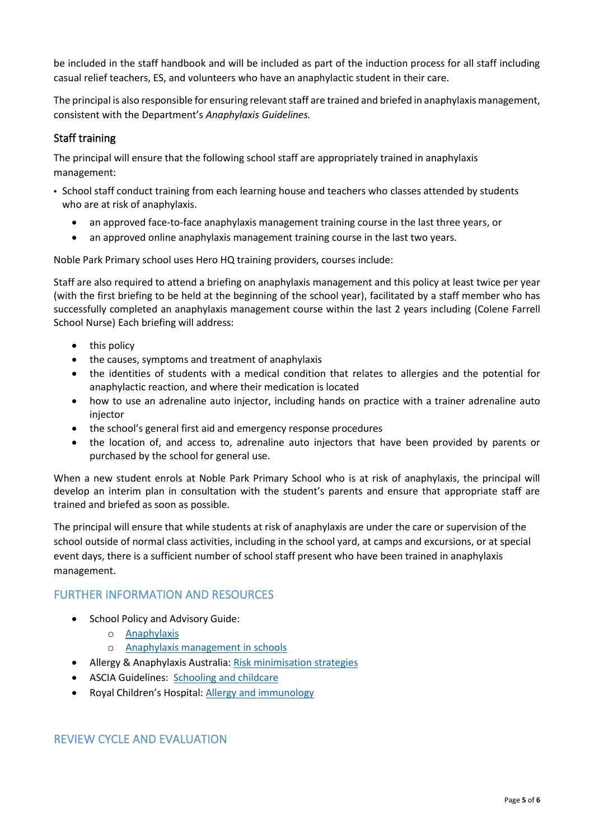be included in the staff handbook and will be included as part of the induction process for all staff including casual relief teachers, ES, and volunteers who have an anaphylactic student in their care.

The principal is also responsible for ensuring relevant staff are trained and briefed in anaphylaxis management, consistent with the Department's *Anaphylaxis Guidelines.*

## Staff training

The principal will ensure that the following school staff are appropriately trained in anaphylaxis management:

- School staff conduct training from each learning house and teachers who classes attended by students who are at risk of anaphylaxis.
	- an approved face-to-face anaphylaxis management training course in the last three years, or
	- an approved online anaphylaxis management training course in the last two years.

Noble Park Primary school uses Hero HQ training providers, courses include:

Staff are also required to attend a briefing on anaphylaxis management and this policy at least twice per year (with the first briefing to be held at the beginning of the school year), facilitated by a staff member who has successfully completed an anaphylaxis management course within the last 2 years including (Colene Farrell School Nurse) Each briefing will address:

- this policy
- the causes, symptoms and treatment of anaphylaxis
- the identities of students with a medical condition that relates to allergies and the potential for anaphylactic reaction, and where their medication is located
- how to use an adrenaline auto injector, including hands on practice with a trainer adrenaline auto injector
- the school's general first aid and emergency response procedures
- the location of, and access to, adrenaline auto injectors that have been provided by parents or purchased by the school for general use.

When a new student enrols at Noble Park Primary School who is at risk of anaphylaxis, the principal will develop an interim plan in consultation with the student's parents and ensure that appropriate staff are trained and briefed as soon as possible.

The principal will ensure that while students at risk of anaphylaxis are under the care or supervision of the school outside of normal class activities, including in the school yard, at camps and excursions, or at special event days, there is a sufficient number of school staff present who have been trained in anaphylaxis management.

## FURTHER INFORMATION AND RESOURCES

- School Policy and Advisory Guide:
	- o [Anaphylaxis](http://www.education.vic.gov.au/school/principals/spag/health/Pages/anaphylaxis.aspx)
	- o [Anaphylaxis management in schools](http://www.education.vic.gov.au/school/teachers/health/pages/anaphylaxisschl.aspx)
- Allergy & Anaphylaxis Australia: [Risk minimisation strategies](https://edugate.eduweb.vic.gov.au/edulibrary/Schools/teachers/health/riskminimisation.pdf)
- ASCIA Guidelines: [Schooling and childcare](https://allergyfacts.org.au/allergy-management/schooling-childcare)
- Royal Children's Hospital: [Allergy and immunology](https://www.rch.org.au/allergy/about_us/Allergy_and_Immunology/)

## REVIEW CYCLE AND EVALUATION